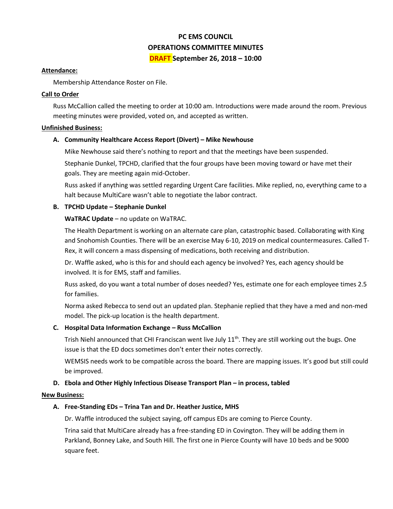# **PC EMS COUNCIL OPERATIONS COMMITTEE MINUTES DRAFT September 26, 2018 – 10:00**

#### **Attendance:**

Membership Attendance Roster on File.

#### **Call to Order**

Russ McCallion called the meeting to order at 10:00 am. Introductions were made around the room. Previous meeting minutes were provided, voted on, and accepted as written.

#### **Unfinished Business:**

## **A. Community Healthcare Access Report (Divert) – Mike Newhouse**

Mike Newhouse said there's nothing to report and that the meetings have been suspended.

Stephanie Dunkel, TPCHD, clarified that the four groups have been moving toward or have met their goals. They are meeting again mid-October.

Russ asked if anything was settled regarding Urgent Care facilities. Mike replied, no, everything came to a halt because MultiCare wasn't able to negotiate the labor contract.

## **B. TPCHD Update – Stephanie Dunkel**

## **WaTRAC Update** – no update on WaTRAC.

The Health Department is working on an alternate care plan, catastrophic based. Collaborating with King and Snohomish Counties. There will be an exercise May 6-10, 2019 on medical countermeasures. Called T-Rex, it will concern a mass dispensing of medications, both receiving and distribution.

Dr. Waffle asked, who is this for and should each agency be involved? Yes, each agency should be involved. It is for EMS, staff and families.

Russ asked, do you want a total number of doses needed? Yes, estimate one for each employee times 2.5 for families.

Norma asked Rebecca to send out an updated plan. Stephanie replied that they have a med and non-med model. The pick-up location is the health department.

## **C. Hospital Data Information Exchange – Russ McCallion**

Trish Niehl announced that CHI Franciscan went live July 11<sup>th</sup>. They are still working out the bugs. One issue is that the ED docs sometimes don't enter their notes correctly.

WEMSIS needs work to be compatible across the board. There are mapping issues. It's good but still could be improved.

## **D.** Ebola and Other Highly Infectious Disease Transport Plan – in process, tabled

## **New Business:**

## **A. Free-Standing EDs – Trina Tan and Dr. Heather Justice, MHS**

Dr. Waffle introduced the subject saying, off campus EDs are coming to Pierce County.

Trina said that MultiCare already has a free-standing ED in Covington. They will be adding them in Parkland, Bonney Lake, and South Hill. The first one in Pierce County will have 10 beds and be 9000 square feet.